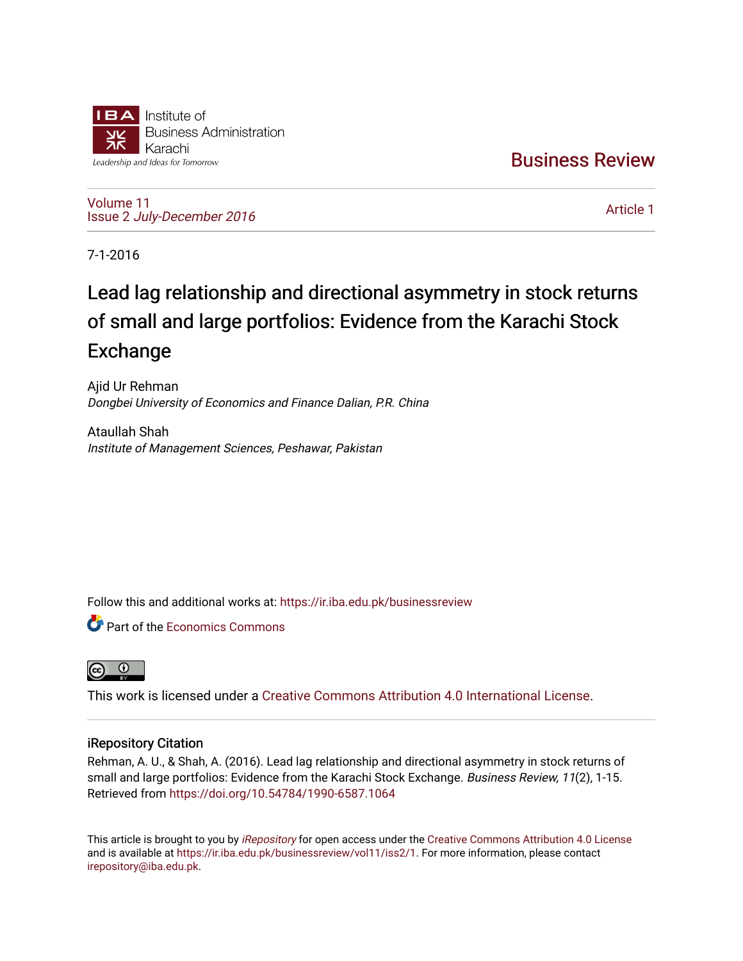

[Business Review](https://ir.iba.edu.pk/businessreview) 

[Volume 11](https://ir.iba.edu.pk/businessreview/vol11) Issue 2 [July-December 2016](https://ir.iba.edu.pk/businessreview/vol11/iss2)

[Article 1](https://ir.iba.edu.pk/businessreview/vol11/iss2/1) 

7-1-2016

# Lead lag relationship and directional asymmetry in stock returns of small and large portfolios: Evidence from the Karachi Stock Exchange

Ajid Ur Rehman Dongbei University of Economics and Finance Dalian, P.R. China

Ataullah Shah Institute of Management Sciences, Peshawar, Pakistan

Follow this and additional works at: [https://ir.iba.edu.pk/businessreview](https://ir.iba.edu.pk/businessreview?utm_source=ir.iba.edu.pk%2Fbusinessreview%2Fvol11%2Fiss2%2F1&utm_medium=PDF&utm_campaign=PDFCoverPages) 

**C** Part of the [Economics Commons](http://network.bepress.com/hgg/discipline/340?utm_source=ir.iba.edu.pk%2Fbusinessreview%2Fvol11%2Fiss2%2F1&utm_medium=PDF&utm_campaign=PDFCoverPages)



This work is licensed under a [Creative Commons Attribution 4.0 International License](https://creativecommons.org/licenses/by/4.0/).

# iRepository Citation

Rehman, A. U., & Shah, A. (2016). Lead lag relationship and directional asymmetry in stock returns of small and large portfolios: Evidence from the Karachi Stock Exchange. Business Review, 11(2), 1-15. Retrieved from <https://doi.org/10.54784/1990-6587.1064>

This article is brought to you by [iRepository](https://ir.iba.edu.pk/) for open access under the Creative Commons Attribution 4.0 License and is available at [https://ir.iba.edu.pk/businessreview/vol11/iss2/1.](https://ir.iba.edu.pk/businessreview/vol11/iss2/1) For more information, please contact [irepository@iba.edu.pk.](mailto:irepository@iba.edu.pk)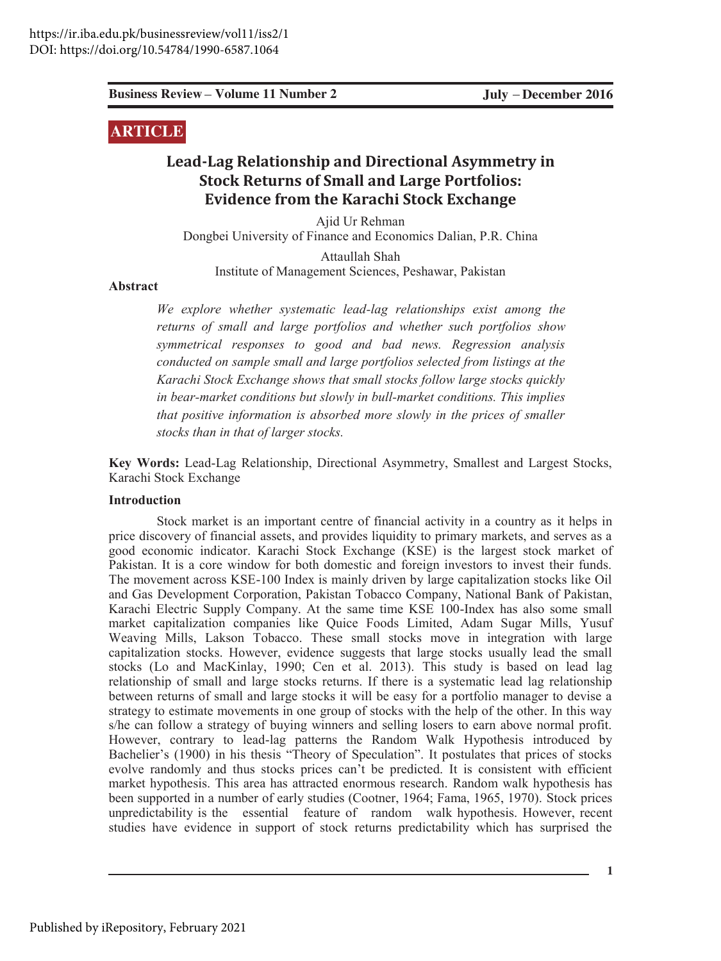**1**

# **ARTICLE**

# **Lead-Lag Relationship and Directional Asymmetry in Stock Returns of Small and Large Portfolios: Evidence from the Karachi Stock Exchange**

Ajid Ur Rehman Dongbei University of Finance and Economics Dalian, P.R. China

Attaullah Shah Institute of Management Sciences, Peshawar, Pakistan

#### Abstract

*We explore whether systematic lead-lag relationships exist among the returns of small and large portfolios and whether such portfolios show symmetrical responses to good and bad news. Regression analysis conducted on sample small and large portfolios selected from listings at the Karachi Stock Exchange shows that small stocks follow large stocks quickly in bear-market conditions but slowly in bull-market conditions. This implies that positive information is absorbed more slowly in the prices of smaller stocks than in that of larger stocks.*

**Key Words:** Lead-Lag Relationship, Directional Asymmetry, Smallest and Largest Stocks, Karachi Stock Exchange

#### **Introduction**

**Existings Review Volume 11 Number 2** July December 2016<br> **ARTICLIS**<br> **Lead-Lag Relationship and Directional Asymmetry in**<br> **Stock Returns of Small and Large Portfolios:**<br> **Evidence from the Karachi Stock Exchange**<br>
Dough Stock market is an important centre of financial activity in a country as it helps in price discovery of financial assets, and provides liquidity to primary markets, and serves as a good economic indicator. Karachi Stock Exchange (KSE) is the largest stock market of Pakistan. It is a core window for both domestic and foreign investors to invest their funds. The movement across KSE-100 Index is mainly driven by large capitalization stocks like Oil and Gas Development Corporation, Pakistan Tobacco Company, National Bank of Pakistan, Karachi Electric Supply Company. At the same time KSE 100-Index has also some small market capitalization companies like Quice Foods Limited, Adam Sugar Mills, Yusuf Weaving Mills, Lakson Tobacco. These small stocks move in integration with large capitalization stocks. However, evidence suggests that large stocks usually lead the small stocks (Lo and MacKinlay, 1990; Cen et al. 2013). This study is based on lead lag relationship of small and large stocks returns. If there is a systematic lead lag relationship between returns of small and large stocks it will be easy for a portfolio manager to devise a strategy to estimate movements in one group of stocks with the help of the other. In this way s/he can follow a strategy of buying winners and selling losers to earn above normal profit. However, contrary to lead-lag patterns the Random Walk Hypothesis introduced by Bachelier's (1900) in his thesis "Theory of Speculation". It postulates that prices of stocks evolve randomly and thus stocks prices can't be predicted. It is consistent with efficient market hypothesis. This area has attracted enormous research. Random walk hypothesis has been supported in a number of early studies (Cootner, 1964; Fama, 1965, 1970). Stock prices unpredictability is the essential feature of random walk hypothesis. However, recent studies have evidence in support of stock returns predictability which has surprised the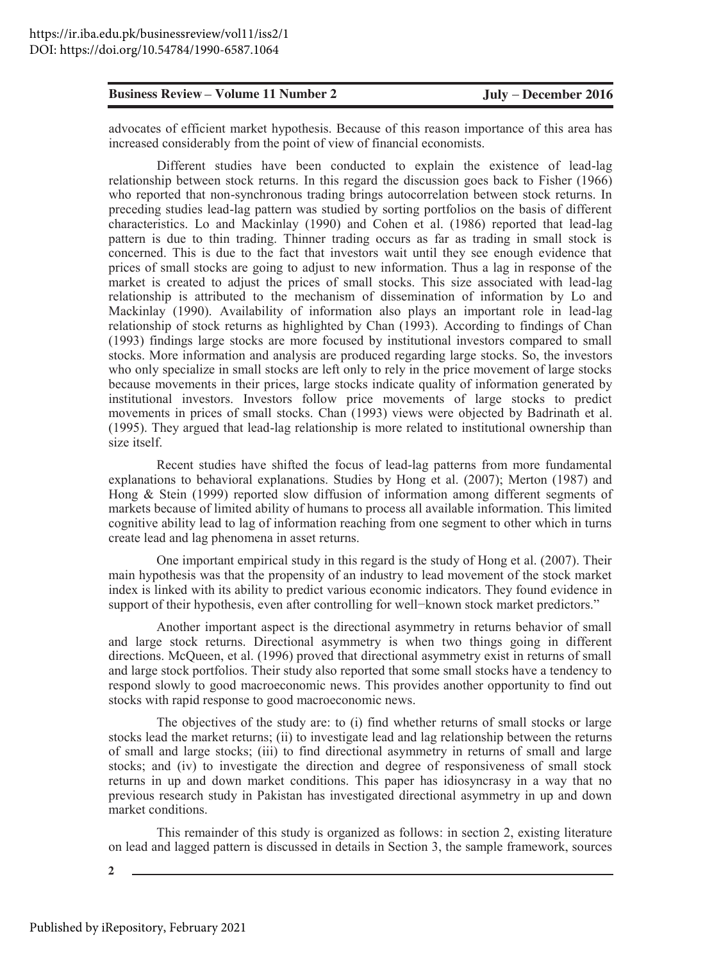advocates of efficient market hypothesis. Because of this reason importance of this area has increased considerably from the point of view of financial economists.

**Existness Review Volume 11 Number 2** Judy December 2016<br>
advocators of effects matrix reports in the control of the state of this reason imperentate of this area has<br>
contracted considered by explicit the state of Leadin Different studies have been conducted to explain the existence of lead-lag relationship between stock returns. In this regard the discussion goes back to Fisher  $(1966)$ who reported that non-synchronous trading brings autocorrelation between stock returns. In preceding studies lead-lag pattern was studied by sorting portfolios on the basis of different characteristics. Lo and Mackinlay (1990) and Cohen et al. (1986) reported that lead-lag pattern is due to thin trading. Thinner trading occurs as far as trading in small stock is concerned. This is due to the fact that investors wait until they see enough evidence that prices of small stocks are going to adjust to new information. Thus a lag in response of the market is created to adjust the prices of small stocks. This size associated with lead-lag relationship is attributed to the mechanism of dissemination of information by Lo and Mackinlay (1990). Availability of information also plays an important role in lead-lag relationship of stock returns as highlighted by Chan (1993). According to findings of Chan  $(1993)$  findings large stocks are more focused by institutional investors compared to small stocks. More information and analysis are produced regarding large stocks. So, the investors who only specialize in small stocks are left only to rely in the price movement of large stocks because movements in their prices, large stocks indicate quality of information generated by institutional investors. Investors follow price movements of large stocks to predict movements in prices of small stocks. Chan (1993) views were objected by Badrinath et al.  $(1995)$ . They argued that lead-lag relationship is more related to institutional ownership than size itself.

Recent studies have shifted the focus of lead-lag patterns from more fundamental explanations to behavioral explanations. Studies by Hong et al.  $(2007)$ ; Merton  $(1987)$  and Hong  $\&$  Stein (1999) reported slow diffusion of information among different segments of markets because of limited ability of humans to process all available information. This limited cognitive ability lead to lag of information reaching from one segment to other which in turns create lead and lag phenomena in asset returns.

One important empirical study in this regard is the study of Hong et al.  $(2007)$ . Their main hypothesis was that the propensity of an industry to lead movement of the stock market index is linked with its ability to predict various economic indicators. They found evidence in support of their hypothesis, even after controlling for well-known stock market predictors."

Another important aspect is the directional asymmetry in returns behavior of small and large stock returns. Directional asymmetry is when two things going in different directions. McQueen, et al. (1996) proved that directional asymmetry exist in returns of small and large stock portfolios. Their study also reported that some small stocks have a tendency to respond slowly to good macroeconomic news. This provides another opportunity to find out stocks with rapid response to good macroeconomic news.

The objectives of the study are: to (i) find whether returns of small stocks or large stocks lead the market returns; (ii) to investigate lead and lag relationship between the returns of small and large stocks; (iii) to find directional asymmetry in returns of small and large stocks; and (iv) to investigate the direction and degree of responsiveness of small stock returns in up and down market conditions. This paper has idiosyncrasy in a way that no previous research study in Pakistan has investigated directional asymmetry in up and down market conditions.

This remainder of this study is organized as follows: in section 2, existing literature on lead and lagged pattern is discussed in details in Section 3, the sample framework, sources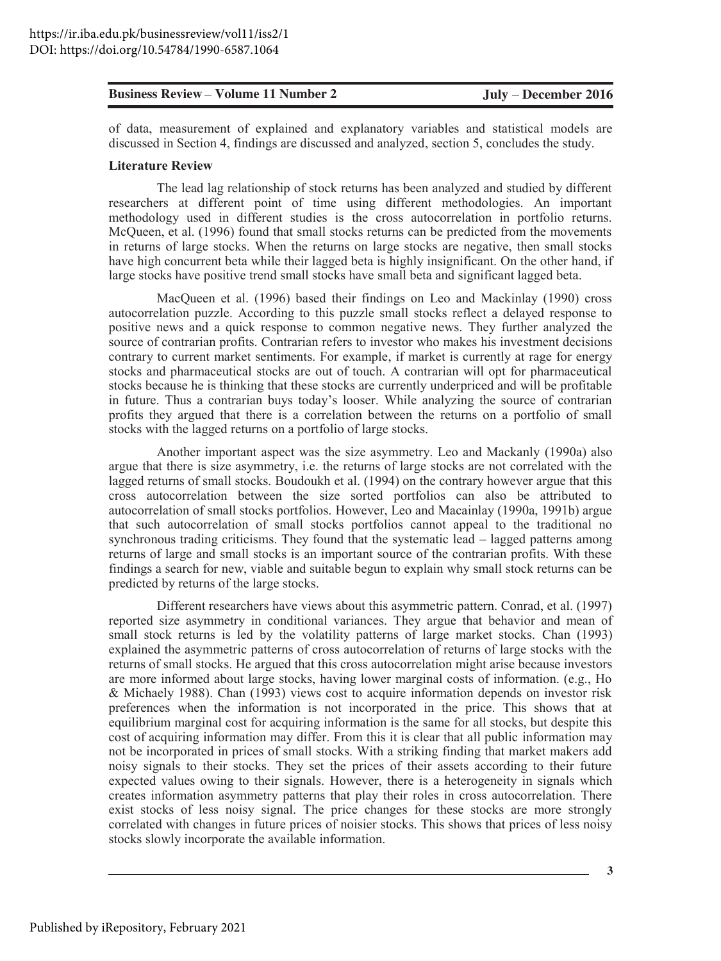discussed in Section 4, findings are discussed and analyzed, section 5, concludes the study.

#### **Literature Review**

The lead lag relationship of stock returns has been analyzed and studied by different researchers at different point of time using different methodologies. An important methodology used in different studies is the cross autocorrelation in portfolio returns. McQueen, et al. (1996) found that small stocks returns can be predicted from the movements in returns of large stocks. When the returns on large stocks are negative, then small stocks have high concurrent beta while their lagged beta is highly insignificant. On the other hand, if large stocks have positive trend small stocks have small beta and significant lagged beta.

MacQueen et al. (1996) based their findings on Leo and Mackinlay (1990) cross autocorrelation puzzle. According to this puzzle small stocks reflect a delayed response to positive news and a quick response to common negative news. They further analyzed the source of contrarian profits. Contrarian refers to investor who makes his investment decisions contrary to current market sentiments. For example, if market is currently at rage for energy stocks and pharmaceutical stocks are out of touch. A contrarian will opt for pharmaceutical stocks because he is thinking that these stocks are currently underpriced and will be profitable in future. Thus a contrarian buys today's looser. While analyzing the source of contrarian profits they argued that there is a correlation between the returns on a portfolio of small stocks with the lagged returns on a portfolio of large stocks.

Another important aspect was the size asymmetry. Leo and Mackanly (1990a) also argue that there is size asymmetry, i.e. the returns of large stocks are not correlated with the lagged returns of small stocks. Boudoukh et al. (1994) on the contrary however argue that this cross autocorrelation between the size sorted portfolios can also be attributed to autocorrelation of small stocks portfolios. However, Leo and Macainlay (1990a, 1991b) argue that such autocorrelation of small stocks portfolios cannot appeal to the traditional no synchronous trading criticisms. They found that the systematic lead - lagged patterns among returns of large and small stocks is an important source of the contrarian profits. With these findings a search for new, viable and suitable begun to explain why small stock returns can be predicted by returns of the large stocks.

**Business Review • Volume 11 Number 2 <b>July** • December 2016<br>
of dascussed in Section 4, findings are discussed and amalyzed, section 5, concludes the statistical models are<br>Literature Review of respirated and complement a Different researchers have views about this asymmetric pattern. Conrad, et al. (1997) reported size asymmetry in conditional variances. They argue that behavior and mean of small stock returns is led by the volatility patterns of large market stocks. Chan (1993) explained the asymmetric patterns of cross autocorrelation of returns of large stocks with the returns of small stocks. He argued that this cross autocorrelation might arise because investors are more informed about large stocks, having lower marginal costs of information. (e.g., Ho  $&$  Michaely 1988). Chan (1993) views cost to acquire information depends on investor risk preferences when the information is not incorporated in the price. This shows that at equilibrium marginal cost for acquiring information is the same for all stocks, but despite this cost of acquiring information may differ. From this it is clear that all public information may not be incorporated in prices of small stocks. With a striking finding that market makers add noisy signals to their stocks. They set the prices of their assets according to their future expected values owing to their signals. However, there is a heterogeneity in signals which creates information asymmetry patterns that play their roles in cross autocorrelation. There exist stocks of less noisy signal. The price changes for these stocks are more strongly correlated with changes in future prices of noisier stocks. This shows that prices of less noisy stocks slowly incorporate the available information.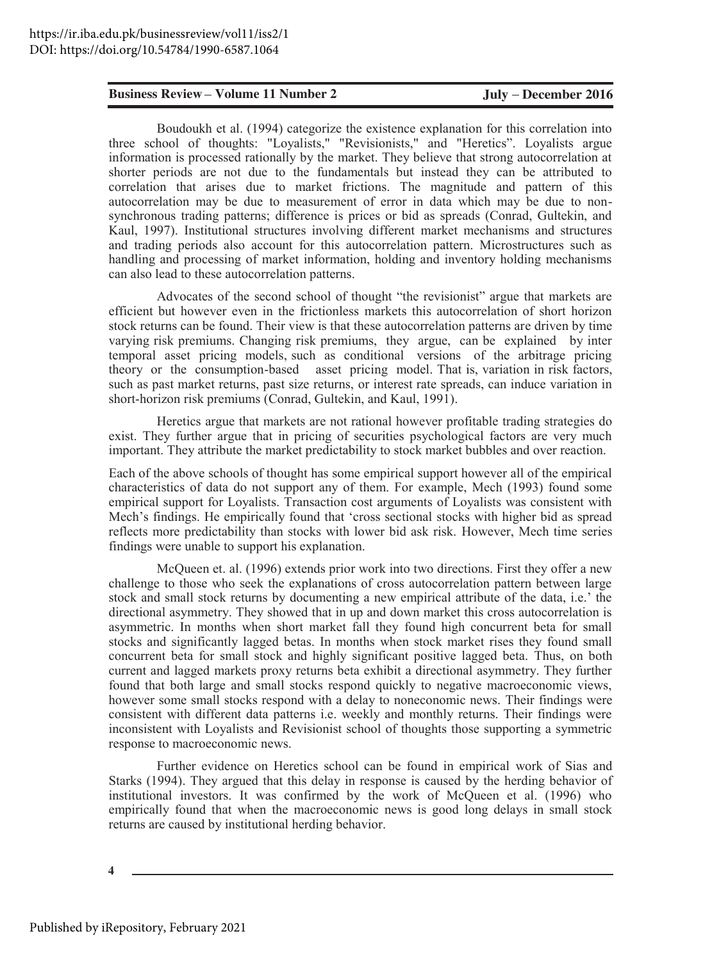Boudoukh et al. (1994) categorize the existence explanation for this correlation into three school of thoughts: "Loyalists," "Revisionists," and "Heretics". Loyalists argue information is processed rationally by the market. They believe that strong autocorrelation at shorter periods are not due to the fundamentals but instead they can be attributed to correlation that arises due to market frictions. The magnitude and pattern of this autocorrelation may be due to measurement of error in data which may be due to nonsynchronous trading patterns; difference is prices or bid as spreads (Conrad, Gultekin, and Kaul, 1997). Institutional structures involving different market mechanisms and structures and trading periods also account for this autocorrelation pattern. Microstructures such as handling and processing of market information, holding and inventory holding mechanisms can also lead to these autocorrelation patterns.

Advocates of the second school of thought "the revisionist" argue that markets are efficient but however even in the frictionless markets this autocorrelation of short horizon stock returns can be found. Their view is that these autocorrelation patterns are driven by time varying risk premiums. Changing risk premiums, they argue, can be explained by inter temporal asset pricing models, such as conditional versions of the arbitrage pricing theory or the consumption-based asset pricing model. That is, variation in risk factors, such as past market returns, past size returns, or interest rate spreads, can induce variation in short-horizon risk premiums (Conrad, Gultekin, and Kaul, 1991).

Heretics argue that markets are not rational however profitable trading strategies do exist. They further argue that in pricing of securities psychological factors are very much important. They attribute the market predictability to stock market bubbles and over reaction.

Each of the above schools of thought has some empirical support however all of the empirical characteristics of data do not support any of them. For example, Mech (1993) found some empirical support for Loyalists. Transaction cost arguments of Loyalists was consistent with Mech's findings. He empirically found that 'cross sectional stocks with higher bid as spread reflects more predictability than stocks with lower bid ask risk. However, Mech time series findings were unable to support his explanation.

**Exaines Review Volume 11 Number 2**<br> **Idad**<br> **Examples the relation of all (1994) cargonizer, "Revisionslss", "and "Hereits". Loyalists argue<br>
three school of thoughs: "Loyalist," "Revisionslss", and "Hereits". Loyalists** McQueen et. al. (1996) extends prior work into two directions. First they offer a new challenge to those who seek the explanations of cross autocorrelation pattern between large stock and small stock returns by documenting a new empirical attribute of the data, i.e.' the directional asymmetry. They showed that in up and down market this cross autocorrelation is asymmetric. In months when short market fall they found high concurrent beta for small stocks and significantly lagged betas. In months when stock market rises they found small concurrent beta for small stock and highly significant positive lagged beta. Thus, on both current and lagged markets proxy returns beta exhibit a directional asymmetry. They further found that both large and small stocks respond quickly to negative macroeconomic views, however some small stocks respond with a delay to noneconomic news. Their findings were consistent with different data patterns i.e. weekly and monthly returns. Their findings were inconsistent with Loyalists and Revisionist school of thoughts those supporting a symmetric response to macroeconomic news.

Further evidence on Heretics school can be found in empirical work of Sias and Starks (1994). They argued that this delay in response is caused by the herding behavior of institutional investors. It was confirmed by the work of McQueen et al. (1996) who empirically found that when the macroeconomic news is good long delays in small stock returns are caused by institutional herding behavior.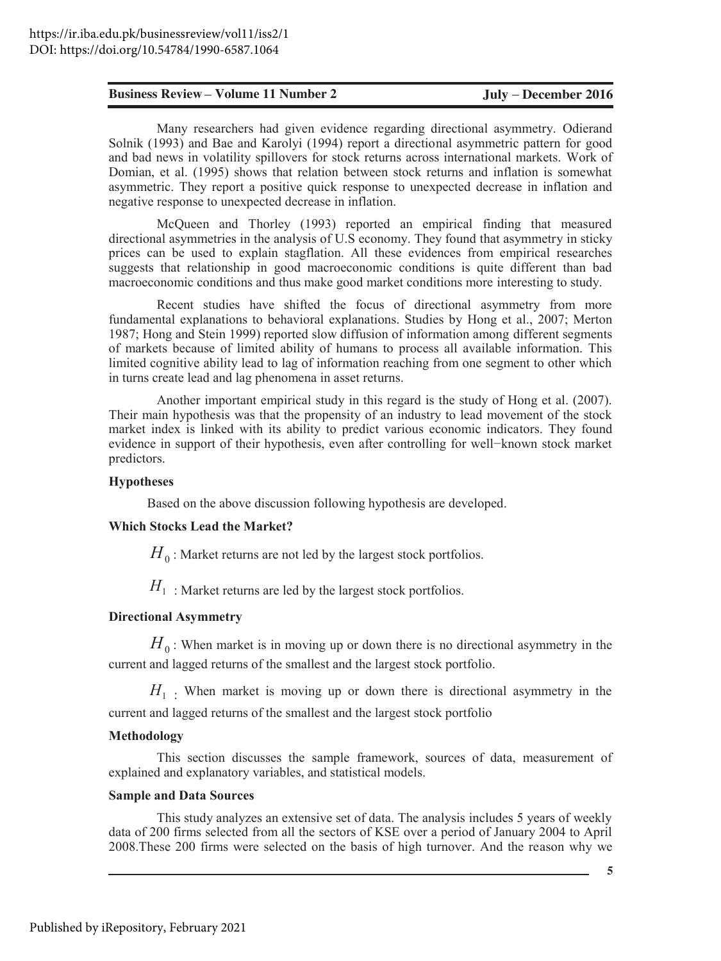Solnik (1993) and Bae and Karolyi (1994) report a directional asymmetric pattern for good and bad news in volatility spillovers for stock returns across international markets. Work of Domian, et al. (1995) shows that relation between stock returns and inflation is somewhat asymmetric. They report a positive quick response to unexpected decrease in inflation and negative response to unexpected decrease in inflation.

McQueen and Thorley (1993) reported an empirical finding that measured directional asymmetries in the analysis of U.S economy. They found that asymmetry in sticky prices can be used to explain stagflation. All these evidences from empirical researches suggests that relationship in good macroeconomic conditions is quite different than bad macroeconomic conditions and thus make good market conditions more interesting to study.

**Existings Review • Volume 11 Number 2 <b>Judy** • December 2016<br>
Solink, (1993) and Bave and Kurolyi (1994) report a directional asymmetric, Odierand Bay<br>
Solink (1993) and Bave and Kurolyi (1994) report a directional asymm Recent studies have shifted the focus of directional asymmetry from more fundamental explanations to behavioral explanations. Studies by Hong et al., 2007; Merton 1987; Hong and Stein 1999) reported slow diffusion of information among different segments of markets because of limited ability of humans to process all available information. This limited cognitive ability lead to lag of information reaching from one segment to other which in turns create lead and lag phenomena in asset returns.

Another important empirical study in this regard is the study of Hong et al.  $(2007)$ . Their main hypothesis was that the propensity of an industry to lead movement of the stock market index is linked with its ability to predict various economic indicators. They found evidence in support of their hypothesis, even after controlling for well-known stock market predictors.

#### $Hypotheses$

Based on the above discussion following hypothesis are developed.

#### **Which Stocks Lead the Market?**

 $H_0$ : Market returns are not led by the largest stock portfolios.

 $H_1$ : Market returns are led by the largest stock portfolios.

### Directional Asymmetry

 $H_0$ : When market is in moving up or down there is no directional asymmetry in the current and lagged returns of the smallest and the largest stock portfolio.

 $H<sub>1</sub>$ . When market is moving up or down there is directional asymmetry in the current and lagged returns of the smallest and the largest stock portfolio

#### **Methodology**

This section discusses the sample framework, sources of data, measurement of explained and explanatory variables, and statistical models.

#### **Sample and Data Sources**

This study analyzes an extensive set of data. The analysis includes 5 years of weekly data of 200 firms selected from all the sectors of KSE over a period of January 2004 to April 2008. These 200 firms were selected on the basis of high turnover. And the reason why we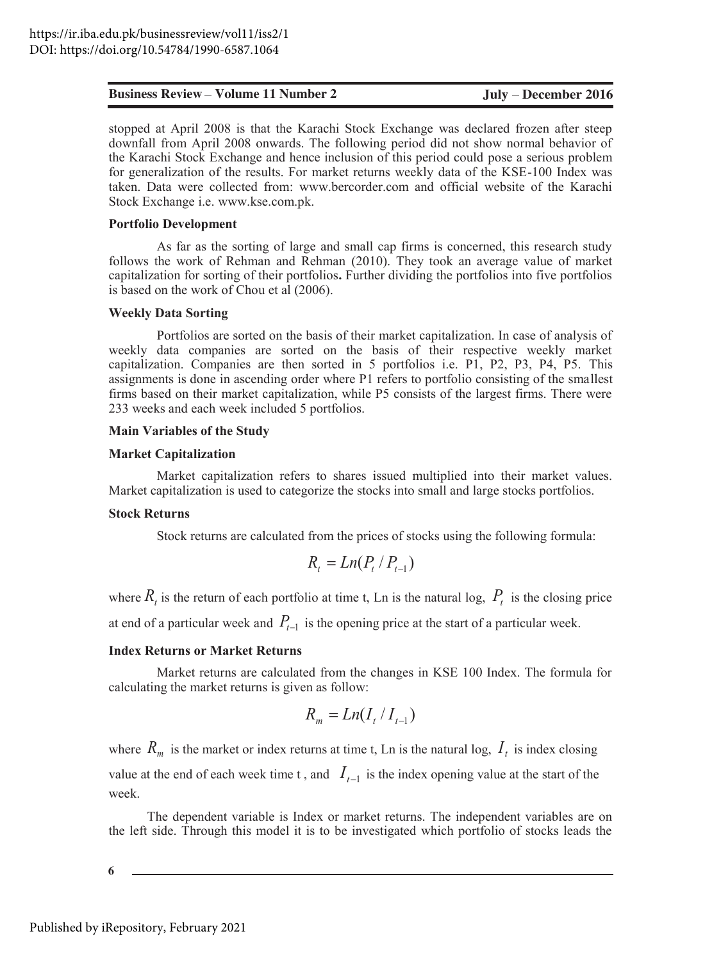stopped at April 2008 is that the Karachi Stock Exchange was declared frozen after steep downfall from April 2008 onwards. The following period did not show normal behavior of the Karachi Stock Exchange and hence inclusion of this period could pose a serious problem for generalization of the results. For market returns weekly data of the KSE-100 Index was taken. Data were collected from: www.bercorder.com and official website of the Karachi Stock Exchange i.e. www.kse.com.pk.

#### **Portfolio Development**

As far as the sorting of large and small cap firms is concerned, this research study follows the work of Rehman and Rehman (2010). They took an average value of market capitalization for sorting of their portfolios. Further dividing the portfolios into five portfolios is based on the work of Chou et al (2006).

#### **Weekly Data Sorting**

**Eusliness Review Volume 11 Number 2 July December 2016**<br> **Eugend** at April 2008 **b** with the Karakini Stock isochange was decised from a specifical properties and scheme and point the National Bohmolov of downthall Portfolios are sorted on the basis of their market capitalization. In case of analysis of weekly data companies are sorted on the basis of their respective weekly market capitalization. Companies are then sorted in 5 portfolios i.e. P1, P2, P3, P4, P5. This assignments is done in ascending order where P1 refers to portfolio consisting of the smallest firms based on their market capitalization, while P5 consists of the largest firms. There were 233 weeks and each week included 5 portfolios.

### **Main Variables of the Study**

#### **Market Capitalization**

Market capitalization refers to shares issued multiplied into their market values. Market capitalization is used to categorize the stocks into small and large stocks portfolios.

#### **Stock Returns**

Stock returns are calculated from the prices of stocks using the following formula:

$$
R_t = Ln(P_t / P_{t-1})
$$

where  $R_t$  is the return of each portfolio at time t, Ln is the natural log,  $P_t$  is the closing price

at end of a particular week and  $P_{t-1}$  is the opening price at the start of a particular week.

#### **Index Returns or Market Returns**

Market returns are calculated from the changes in KSE 100 Index. The formula for calculating the market returns is given as follow:

$$
R_m = Ln(I_t / I_{t-1})
$$

where  $R_m$  is the market or index returns at time t, Ln is the natural log,  $I_t$  is index closing value at the end of each week time t, and  $I_{t-1}$  is the index opening value at the start of the week.

The dependent variable is Index or market returns. The independent variables are on the left side. Through this model it is to be investigated which portfolio of stocks leads the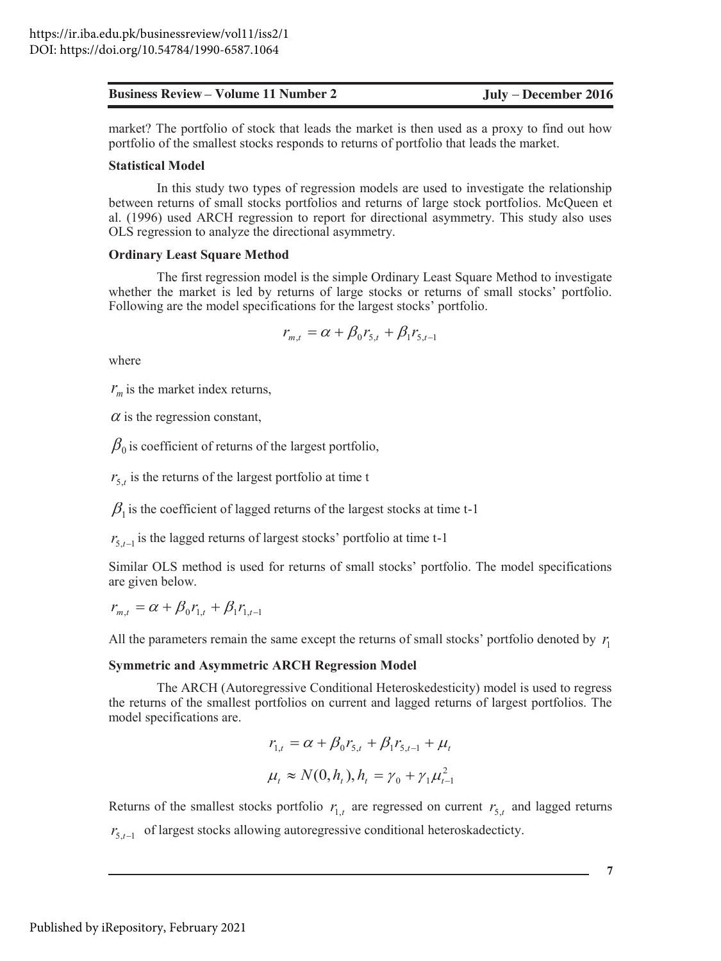market? The portfolio of stock that leads the market is then used as a proxy to find out how portfolio of the smallest stocks responds to returns of portfolio that leads the market.

#### **Statistical Model**

In this study two types of regression models are used to investigate the relationship between returns of small stocks portfolios and returns of large stock portfolios. McQueen et al. (1996) used ARCH regression to report for directional asymmetry. This study also uses OLS regression to analyze the directional asymmetry.

#### **Ordinary Least Square Method**

The first regression model is the simple Ordinary Least Square Method to investigate whether the market is led by returns of large stocks or returns of small stocks' portfolio. Following are the model specifications for the largest stocks' portfolio.

$$
r_{m,t} = \alpha + \beta_0 r_{5,t} + \beta_1 r_{5,t-1}
$$

where

 $r_m$  is the market index returns,

 $\alpha$  is the regression constant,

 $\beta_0$  is coefficient of returns of the largest portfolio,

 $r_{5,t}$  is the returns of the largest portfolio at time t

 $\beta_1$  is the coefficient of lagged returns of the largest stocks at time t-1

 $r_{5t-1}$  is the lagged returns of largest stocks' portfolio at time t-1

Similar OLS method is used for returns of small stocks' portfolio. The model specifications are given below.

 $r_{m,t} = \alpha + \beta_0 r_{1,t} + \beta_1 r_{1,t-1}$ 

All the parameters remain the same except the returns of small stocks' portfolio denoted by  $r_1$ 

#### **Symmetric and Asymmetric ARCH Regression Model**

The ARCH (Autoregressive Conditional Heteroskedesticity) model is used to regress the returns of the smallest portfolios on current and lagged returns of largest portfolios. The model specifications are.

$$
r_{1,t} = \alpha + \beta_0 r_{5,t} + \beta_1 r_{5,t-1} + \mu_t
$$
  

$$
\mu_t \approx N(0, h_t), h_t = \gamma_0 + \gamma_1 \mu_{t-1}^2
$$

Returns of the smallest stocks portfolio  $r_1$ , are regressed on current  $r_5$ , and lagged returns  $r_{5t-1}$  of largest stocks allowing autoregressive conditional heteroskadecticty.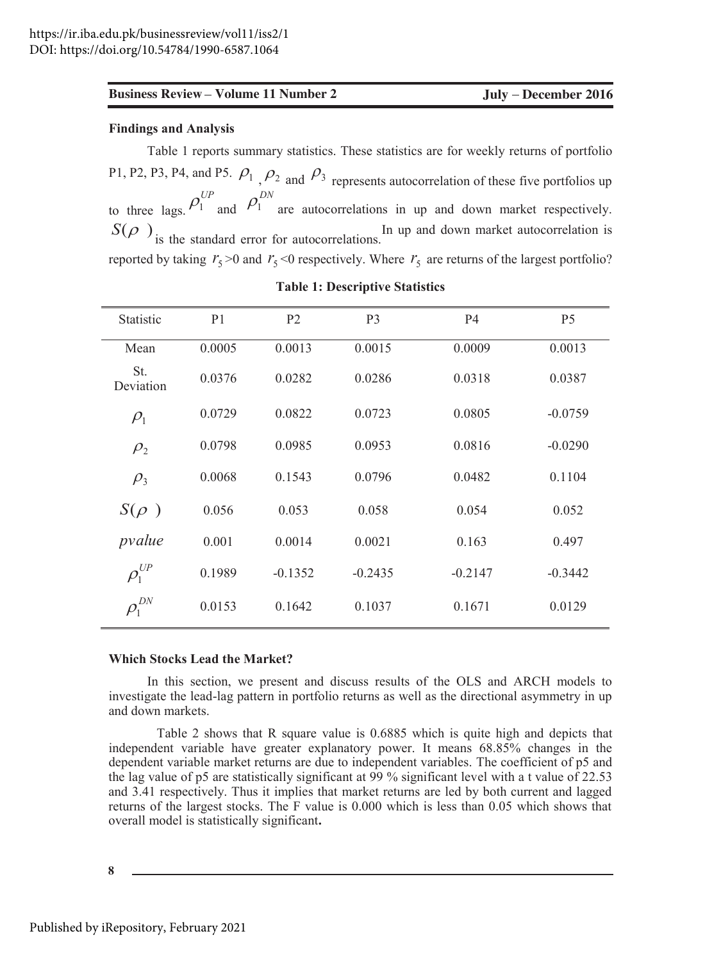#### **Findings and Analysis**

Table 1 reports summary statistics. These statistics are for weekly returns of portfolio P1, P2, P3, P4, and P5.  $\rho_1$ ,  $\rho_2$  and  $\rho_3$  represents autocorrelation of these five portfolios up to three lags.  $\rho_1^{UP}$  and  $\rho_1^{DN}$  are autocorrelations in up and down market respectively.  $S(\rho)$  is the standard error for autocorrelations. In up and down market autocorrelation is reported by taking  $r_5 > 0$  and  $r_5 < 0$  respectively. Where  $r_5$  are returns of the largest portfolio?

| Statistic                        | P <sub>1</sub> | P <sub>2</sub> | P <sub>3</sub> | <b>P4</b> | P <sub>5</sub> |
|----------------------------------|----------------|----------------|----------------|-----------|----------------|
| Mean                             | 0.0005         | 0.0013         | 0.0015         | 0.0009    | 0.0013         |
| St.<br>Deviation                 | 0.0376         | 0.0282         | 0.0286         | 0.0318    | 0.0387         |
| $\rho_1$                         | 0.0729         | 0.0822         | 0.0723         | 0.0805    | $-0.0759$      |
| $\rho_{2}$                       | 0.0798         | 0.0985         | 0.0953         | 0.0816    | $-0.0290$      |
| $\rho$ <sub>3</sub>              | 0.0068         | 0.1543         | 0.0796         | 0.0482    | 0.1104         |
| $S(\rho)$                        | 0.056          | 0.053          | 0.058          | 0.054     | 0.052          |
| pvalue                           | 0.001          | 0.0014         | 0.0021         | 0.163     | 0.497          |
| $\rho_{\rm l}^{_{UP}}$           | 0.1989         | $-0.1352$      | $-0.2435$      | $-0.2147$ | $-0.3442$      |
| $\rho_1^{\scriptscriptstyle DN}$ | 0.0153         | 0.1642         | 0.1037         | 0.1671    | 0.0129         |

**Table 1: Descriptive Statistics** 

#### **Which Stocks Lead the Market?**

In this section, we present and discuss results of the OLS and ARCH models to investigate the lead-lag pattern in portfolio returns as well as the directional asymmetry in up and down markets.

Table 2 shows that R square value is 0.6885 which is quite high and depicts that independent variable have greater explanatory power. It means 68.85% changes in the dependent variable market returns are due to independent variables. The coefficient of p5 and the lag value of p5 are statistically significant at 99 % significant level with a t value of 22.53 and 3.41 respectively. Thus it implies that market returns are led by both current and lagged returns of the largest stocks. The F value is 0.000 which is less than 0.05 which shows that overall model is statistically significant.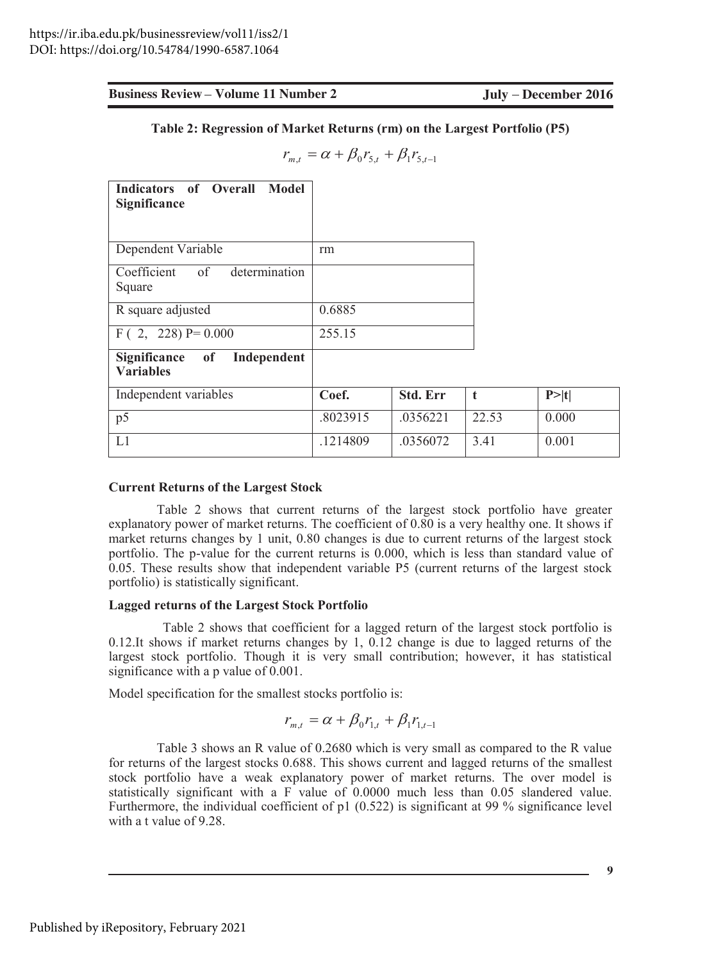$$
r_{m,t} = \alpha + \beta_0 r_{5,t} + \beta_1 r_{5,t-1}
$$

| <b>Business Review – Volume 11 Number 2</b>                                                                                                                                                                                                                                                                                                                                                                                                                                                          |                                                          |          | July – December 2016 |       |
|------------------------------------------------------------------------------------------------------------------------------------------------------------------------------------------------------------------------------------------------------------------------------------------------------------------------------------------------------------------------------------------------------------------------------------------------------------------------------------------------------|----------------------------------------------------------|----------|----------------------|-------|
| Table 2: Regression of Market Returns (rm) on the Largest Portfolio (P5)                                                                                                                                                                                                                                                                                                                                                                                                                             |                                                          |          |                      |       |
|                                                                                                                                                                                                                                                                                                                                                                                                                                                                                                      | $r_{m,t} = \alpha + \beta_0 r_{5,t} + \beta_1 r_{5,t-1}$ |          |                      |       |
| <b>Indicators</b><br>of Overall<br>Model<br>Significance                                                                                                                                                                                                                                                                                                                                                                                                                                             |                                                          |          |                      |       |
| Dependent Variable                                                                                                                                                                                                                                                                                                                                                                                                                                                                                   | rm                                                       |          |                      |       |
| Coefficient<br>of<br>determination<br>Square                                                                                                                                                                                                                                                                                                                                                                                                                                                         |                                                          |          |                      |       |
| R square adjusted                                                                                                                                                                                                                                                                                                                                                                                                                                                                                    | 0.6885                                                   |          |                      |       |
| $F(2, 228) P= 0.000$                                                                                                                                                                                                                                                                                                                                                                                                                                                                                 | 255.15                                                   |          |                      |       |
| Significance<br>Independent<br><sub>of</sub><br><b>Variables</b>                                                                                                                                                                                                                                                                                                                                                                                                                                     |                                                          |          |                      |       |
| Independent variables                                                                                                                                                                                                                                                                                                                                                                                                                                                                                | Coef.                                                    | Std. Err | t                    | P> t  |
| $\overline{p5}$                                                                                                                                                                                                                                                                                                                                                                                                                                                                                      | .8023915                                                 | .0356221 | 22.53                | 0.000 |
| L1                                                                                                                                                                                                                                                                                                                                                                                                                                                                                                   | .1214809                                                 | .0356072 | 3.41                 | 0.001 |
| explanatory power of market returns. The coefficient of 0.80 is a very healthy one. It shows if<br>market returns changes by 1 unit, 0.80 changes is due to current returns of the largest stock<br>portfolio. The p-value for the current returns is 0.000, which is less than standard value of<br>0.05. These results show that independent variable P5 (current returns of the largest stock<br>portfolio) is statistically significant.                                                         |                                                          |          |                      |       |
| <b>Lagged returns of the Largest Stock Portfolio</b>                                                                                                                                                                                                                                                                                                                                                                                                                                                 |                                                          |          |                      |       |
| Table 2 shows that coefficient for a lagged return of the largest stock portfolio is<br>$0.12$ . It shows if market returns changes by 1, 0.12 change is due to lagged returns of the<br>largest stock portfolio. Though it is very small contribution; however, it has statistical<br>significance with a p value of 0.001.                                                                                                                                                                         |                                                          |          |                      |       |
| Model specification for the smallest stocks portfolio is:                                                                                                                                                                                                                                                                                                                                                                                                                                            |                                                          |          |                      |       |
|                                                                                                                                                                                                                                                                                                                                                                                                                                                                                                      | $r_{m,t} = \alpha + \beta_0 r_{1,t} + \beta_1 r_{1,t-1}$ |          |                      |       |
| Table 3 shows an R value of 0.2680 which is very small as compared to the R value<br>for returns of the largest stocks 0.688. This shows current and lagged returns of the smallest<br>stock portfolio have a weak explanatory power of market returns. The over model is<br>statistically significant with a F value of 0.0000 much less than 0.05 slandered value.<br>Furthermore, the individual coefficient of p1 $(0.522)$ is significant at 99 % significance level<br>with a t value of 9.28. |                                                          |          |                      |       |
|                                                                                                                                                                                                                                                                                                                                                                                                                                                                                                      |                                                          |          |                      | 9     |

#### **Current Returns of the Largest Stock**

#### **Lagged returns of the Largest Stock Portfolio**

$$
r_{m,t} = \alpha + \beta_0 r_{1,t} + \beta_1 r_{1,t-1}
$$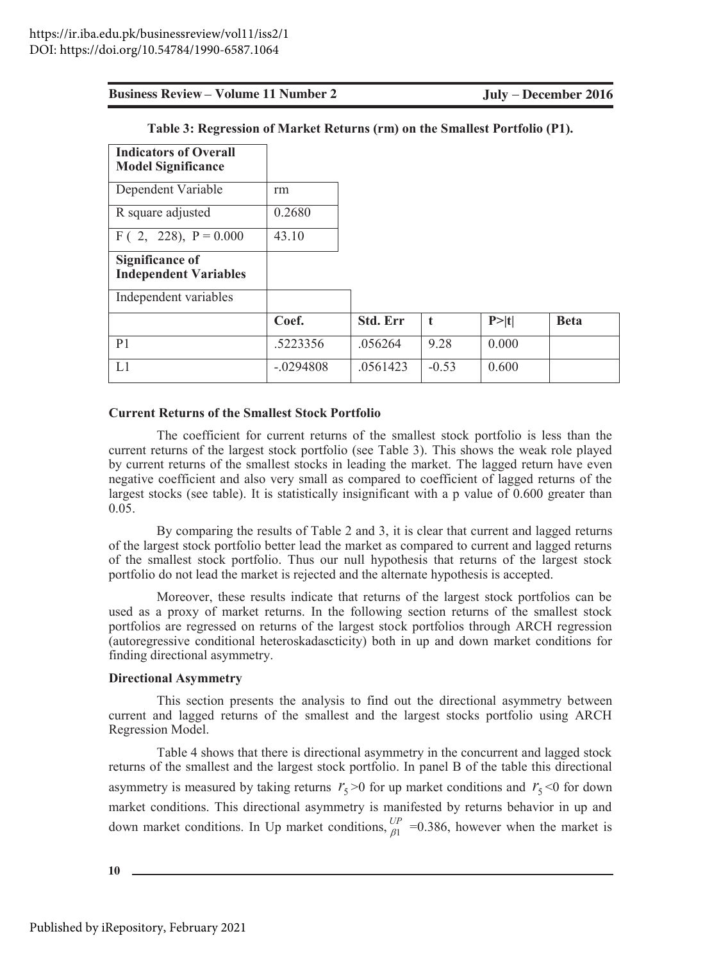July - December 2016

| <b>Indicators of Overall</b> |             |          |         |       |             |
|------------------------------|-------------|----------|---------|-------|-------------|
| <b>Model Significance</b>    |             |          |         |       |             |
| Dependent Variable           | rm          |          |         |       |             |
| R square adjusted            | 0.2680      |          |         |       |             |
| $F(2, 228), P = 0.000$       | 43.10       |          |         |       |             |
| <b>Significance of</b>       |             |          |         |       |             |
| <b>Independent Variables</b> |             |          |         |       |             |
| Independent variables        |             |          |         |       |             |
|                              | Coef.       | Std. Err | t       | P> t  | <b>Beta</b> |
| P <sub>1</sub>               | .5223356    | .056264  | 9.28    | 0.000 |             |
| L1                           | $-.0294808$ | .0561423 | $-0.53$ | 0.600 |             |

Table 3: Regression of Market Returns (rm) on the Smallest Portfolio (P1).

#### **Current Returns of the Smallest Stock Portfolio**

The coefficient for current returns of the smallest stock portfolio is less than the current returns of the largest stock portfolio (see Table 3). This shows the weak role played by current returns of the smallest stocks in leading the market. The lagged return have even negative coefficient and also very small as compared to coefficient of lagged returns of the largest stocks (see table). It is statistically insignificant with a p value of 0.600 greater than  $0.05.$ 

By comparing the results of Table 2 and 3, it is clear that current and lagged returns of the largest stock portfolio better lead the market as compared to current and lagged returns of the smallest stock portfolio. Thus our null hypothesis that returns of the largest stock portfolio do not lead the market is rejected and the alternate hypothesis is accepted.

Moreover, these results indicate that returns of the largest stock portfolios can be used as a proxy of market returns. In the following section returns of the smallest stock portfolios are regressed on returns of the largest stock portfolios through ARCH regression (autoregressive conditional heteroskadascticity) both in up and down market conditions for finding directional asymmetry.

#### **Directional Asymmetry**

This section presents the analysis to find out the directional asymmetry between current and lagged returns of the smallest and the largest stocks portfolio using ARCH Regression Model.

Table 4 shows that there is directional asymmetry in the concurrent and lagged stock returns of the smallest and the largest stock portfolio. In panel B of the table this directional asymmetry is measured by taking returns  $r_5 \ge 0$  for up market conditions and  $r_5 \le 0$  for down market conditions. This directional asymmetry is manifested by returns behavior in up and down market conditions. In Up market conditions,  $_{b1}^{UP}$  =0.386, however when the market is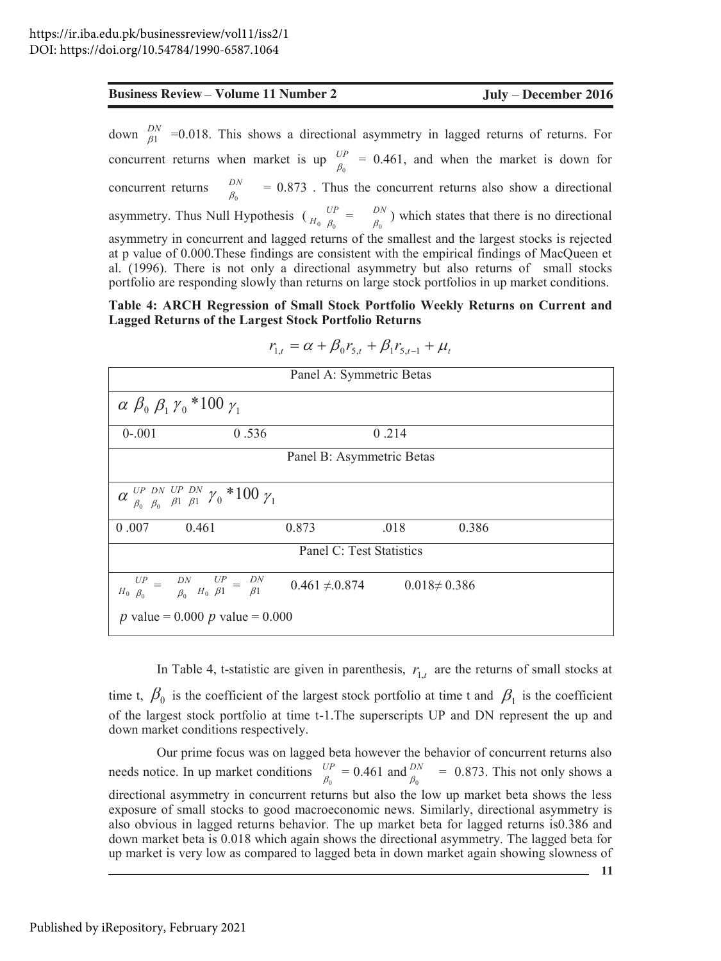#### Table 4: ARCH Regression of Small Stock Portfolio Weekly Returns on Current and **Lagged Returns of the Largest Stock Portfolio Returns**

| <b>Business Review - Volume 11 Number 2</b>                                                                                                                                                                                                                                                                                                                                                                                                                                      | July – December 2016 |
|----------------------------------------------------------------------------------------------------------------------------------------------------------------------------------------------------------------------------------------------------------------------------------------------------------------------------------------------------------------------------------------------------------------------------------------------------------------------------------|----------------------|
| down $\frac{DN}{\beta 1}$ =0.018. This shows a directional asymmetry in lagged returns of returns. For                                                                                                                                                                                                                                                                                                                                                                           |                      |
| concurrent returns when market is up $\frac{UP}{\beta_0}$ = 0.461, and when the market is down for                                                                                                                                                                                                                                                                                                                                                                               |                      |
| $\frac{DN}{\beta_0}$ = 0.873. Thus the concurrent returns also show a directional<br>concurrent returns                                                                                                                                                                                                                                                                                                                                                                          |                      |
| asymmetry. Thus Null Hypothesis $\begin{pmatrix} UP & - & DN \\ H_0 & \beta_0 \end{pmatrix}$ which states that there is no directional                                                                                                                                                                                                                                                                                                                                           |                      |
| asymmetry in concurrent and lagged returns of the smallest and the largest stocks is rejected<br>at p value of 0.000. These findings are consistent with the empirical findings of MacQueen et<br>al. (1996). There is not only a directional asymmetry but also returns of small stocks<br>portfolio are responding slowly than returns on large stock portfolios in up market conditions.                                                                                      |                      |
| Table 4: ARCH Regression of Small Stock Portfolio Weekly Returns on Current and<br><b>Lagged Returns of the Largest Stock Portfolio Returns</b>                                                                                                                                                                                                                                                                                                                                  |                      |
| $r_{1,t} = \alpha + \beta_0 r_{5,t} + \beta_1 r_{5,t-1} + \mu_t$                                                                                                                                                                                                                                                                                                                                                                                                                 |                      |
| Panel A: Symmetric Betas                                                                                                                                                                                                                                                                                                                                                                                                                                                         |                      |
| $\alpha \beta_0 \beta_1 \gamma_0$ *100 $\gamma_1$                                                                                                                                                                                                                                                                                                                                                                                                                                |                      |
| $0 - 001$<br>0.536<br>0.214                                                                                                                                                                                                                                                                                                                                                                                                                                                      |                      |
| Panel B: Asymmetric Betas                                                                                                                                                                                                                                                                                                                                                                                                                                                        |                      |
| $\alpha$ <sup>UP</sup> <sub><math>\beta_0</math></sub> $\beta_0$ <sub><math>\beta_1</math></sub> $\beta_1$ <sup>*</sup> $\gamma$ <sub>0</sub> <sup>*</sup> 100 $\gamma$ <sub>1</sub>                                                                                                                                                                                                                                                                                             |                      |
| 0.461<br>0.873<br>.018<br>0.007                                                                                                                                                                                                                                                                                                                                                                                                                                                  | 0.386                |
| Panel C: Test Statistics                                                                                                                                                                                                                                                                                                                                                                                                                                                         |                      |
| $\begin{array}{ccc} & U\overline{P} & = & \overline{DN} & \overline{UP} & = & \overline{DN} \\ & H_0 & \beta_0 & \beta_0 & H_0 & \beta 1 & \beta 1 \end{array}$<br>$0.461 \neq 0.874$<br>$0.018 \neq 0.386$                                                                                                                                                                                                                                                                      |                      |
| <i>p</i> value = 0.000 <i>p</i> value = 0.000                                                                                                                                                                                                                                                                                                                                                                                                                                    |                      |
| In Table 4, t-statistic are given in parenthesis, $r_{1,t}$ are the returns of small stocks at                                                                                                                                                                                                                                                                                                                                                                                   |                      |
| time t, $\beta_0$ is the coefficient of the largest stock portfolio at time t and $\beta_1$ is the coefficient                                                                                                                                                                                                                                                                                                                                                                   |                      |
| of the largest stock portfolio at time t-1. The superscripts UP and DN represent the up and<br>down market conditions respectively.                                                                                                                                                                                                                                                                                                                                              |                      |
| Our prime focus was on lagged beta however the behavior of concurrent returns also                                                                                                                                                                                                                                                                                                                                                                                               |                      |
| needs notice. In up market conditions $\frac{UP}{\beta_0} = 0.461$ and $\frac{DN}{\beta_0} = 0.873$ . This not only shows a                                                                                                                                                                                                                                                                                                                                                      |                      |
| directional asymmetry in concurrent returns but also the low up market beta shows the less<br>exposure of small stocks to good macroeconomic news. Similarly, directional asymmetry is<br>also obvious in lagged returns behavior. The up market beta for lagged returns is 0.386 and<br>down market beta is 0.018 which again shows the directional asymmetry. The lagged beta for<br>up market is very low as compared to lagged beta in down market again showing slowness of | 11                   |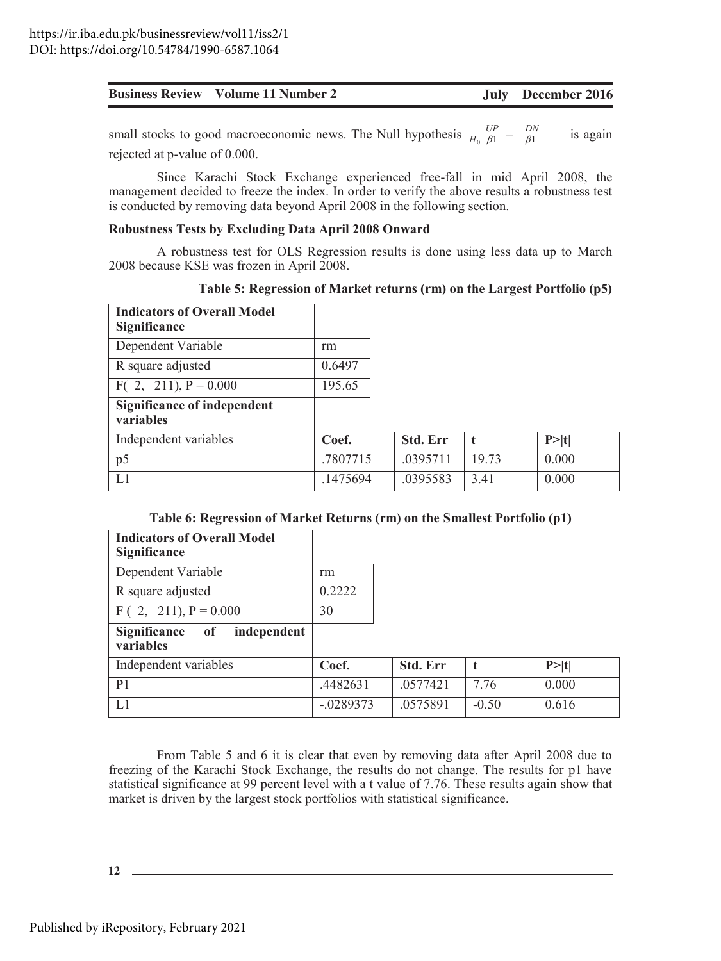| <b>Business Review – Volume 11 Number 2</b> | July – December 2016 |
|---------------------------------------------|----------------------|
|---------------------------------------------|----------------------|

small stocks to good macroeconomic news. The Null hypothesis  $\frac{UP}{H_0 \beta 1} = \frac{DN}{\beta 1}$ is again rejected at p-value of 0.000.

Since Karachi Stock Exchange experienced free-fall in mid April 2008, the management decided to freeze the index. In order to verify the above results a robustness test is conducted by removing data beyond April 2008 in the following section.

#### Robustness Tests by Excluding Data April 2008 Onward

A robustness test for OLS Regression results is done using less data up to March 2008 because KSE was frozen in April 2008.

| Table 5: Regression of Market returns (rm) on the Largest Portfolio (p5) |  |  |  |
|--------------------------------------------------------------------------|--|--|--|
|                                                                          |  |  |  |

t

19.73

3.41

 $P > |t|$ 

 $0.000$ 

 $0.000$ 

| <b>Indicators of Overall Model</b><br><b>Significance</b> |          |          |
|-----------------------------------------------------------|----------|----------|
| Dependent Variable                                        | rm       |          |
| R square adjusted                                         | 0.6497   |          |
| $F(2, 211), P = 0.000$                                    | 195.65   |          |
| <b>Significance of independent</b><br>variables           |          |          |
| Independent variables                                     | Coef.    | Std. Err |
| p5                                                        | .7807715 | .0395711 |
| IJ                                                        | .1475694 | .0395583 |

#### Table 6: Regression of Market Returns (rm) on the Smallest Portfolio (p1)

| <b>Indicators of Overall Model</b><br><b>Significance</b> |             |                 |         |        |
|-----------------------------------------------------------|-------------|-----------------|---------|--------|
| Dependent Variable                                        | rm          |                 |         |        |
| R square adjusted                                         | 0.2222      |                 |         |        |
| $F(2, 211), P = 0.000$                                    | 30          |                 |         |        |
| Significance of<br>independent<br>variables               |             |                 |         |        |
| Independent variables                                     | Coef.       | <b>Std. Err</b> |         | P >  t |
| P <sub>1</sub>                                            | .4482631    | .0577421        | 7.76    | 0.000  |
| L1                                                        | $-.0289373$ | .0575891        | $-0.50$ | 0.616  |

From Table 5 and 6 it is clear that even by removing data after April 2008 due to freezing of the Karachi Stock Exchange, the results do not change. The results for p1 have statistical significance at 99 percent level with a t value of 7.76. These results again show that market is driven by the largest stock portfolios with statistical significance.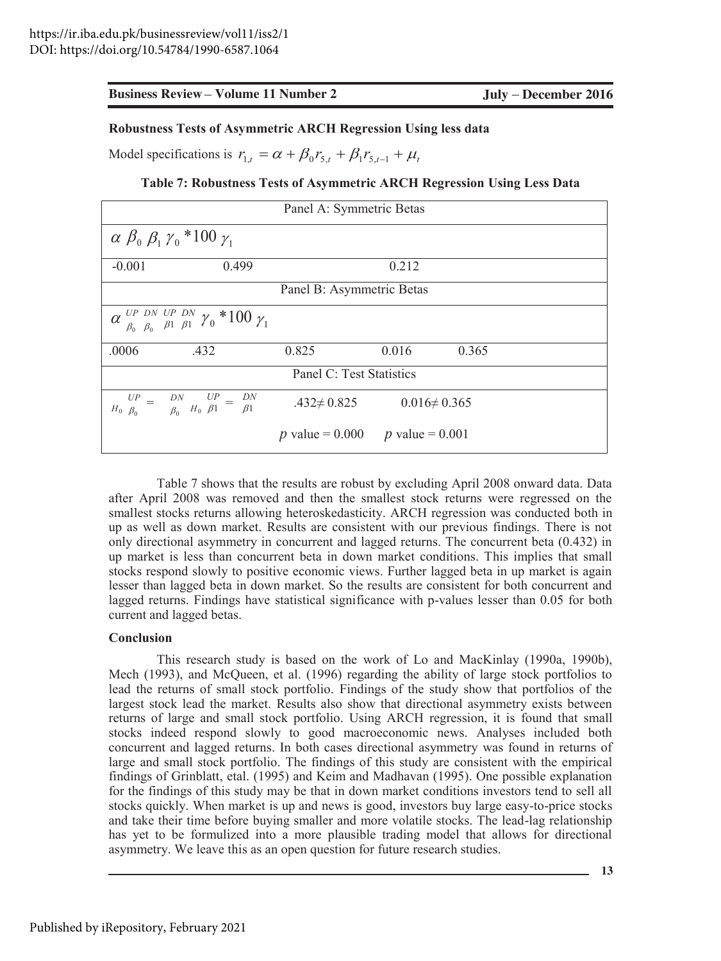#### Robustness Tests of Asymmetric ARCH Regression Using less data

Model specifications is  $r_{1,t} = \alpha + \beta_0 r_{5,t} + \beta_1 r_{5,t-1} + \mu_t$ 

#### Table 7: Robustness Tests of Asymmetric ARCH Regression Using Less Data

| Panel A: Symmetric Betas                                                                                    |                                               |                    |       |  |  |  |
|-------------------------------------------------------------------------------------------------------------|-----------------------------------------------|--------------------|-------|--|--|--|
| $\alpha \beta_0 \beta_1 \gamma_0$ * 100 $\gamma_1$                                                          |                                               |                    |       |  |  |  |
| 0.499<br>$-0.001$                                                                                           |                                               | 0.212              |       |  |  |  |
|                                                                                                             | Panel B: Asymmetric Betas                     |                    |       |  |  |  |
| $\alpha$ $_{\beta_0}^{UP}$ $_{\beta_0}^{DN}$ $_{\beta_1}^{UP}$ $_{\beta_1}^{DN}$ $\gamma_0$ *100 $\gamma_1$ |                                               |                    |       |  |  |  |
| .0006<br>.432                                                                                               | 0.825                                         | 0.016              | 0.365 |  |  |  |
| Panel C: Test Statistics                                                                                    |                                               |                    |       |  |  |  |
| $\begin{array}{ccc} UP & = & DN & UP = & DN \\ H_0 & \beta_0 & \beta_0 & H_0 & \beta1 \end{array}$          | $.432 \neq 0.825$                             | $0.016 \neq 0.365$ |       |  |  |  |
|                                                                                                             | <i>p</i> value = 0.000 <i>p</i> value = 0.001 |                    |       |  |  |  |

Table 7 shows that the results are robust by excluding April 2008 onward data. Data after April 2008 was removed and then the smallest stock returns were regressed on the smallest stocks returns allowing heteroskedasticity. ARCH regression was conducted both in up as well as down market. Results are consistent with our previous findings. There is not only directional asymmetry in concurrent and lagged returns. The concurrent beta (0.432) in up market is less than concurrent beta in down market conditions. This implies that small stocks respond slowly to positive economic views. Further lagged beta in up market is again lesser than lagged beta in down market. So the results are consistent for both concurrent and lagged returns. Findings have statistical significance with p-values lesser than 0.05 for both current and lagged betas.

#### **Conclusion**

This research study is based on the work of Lo and MacKinlay (1990a, 1990b), Mech (1993), and McQueen, et al. (1996) regarding the ability of large stock portfolios to lead the returns of small stock portfolio. Findings of the study show that portfolios of the largest stock lead the market. Results also show that directional asymmetry exists between returns of large and small stock portfolio. Using ARCH regression, it is found that small stocks indeed respond slowly to good macroeconomic news. Analyses included both concurrent and lagged returns. In both cases directional asymmetry was found in returns of large and small stock portfolio. The findings of this study are consistent with the empirical findings of Grinblatt, etal. (1995) and Keim and Madhavan (1995). One possible explanation for the findings of this study may be that in down market conditions investors tend to sell all stocks quickly. When market is up and news is good, investors buy large easy-to-price stocks and take their time before buying smaller and more volatile stocks. The lead-lag relationship has yet to be formulized into a more plausible trading model that allows for directional asymmetry. We leave this as an open question for future research studies.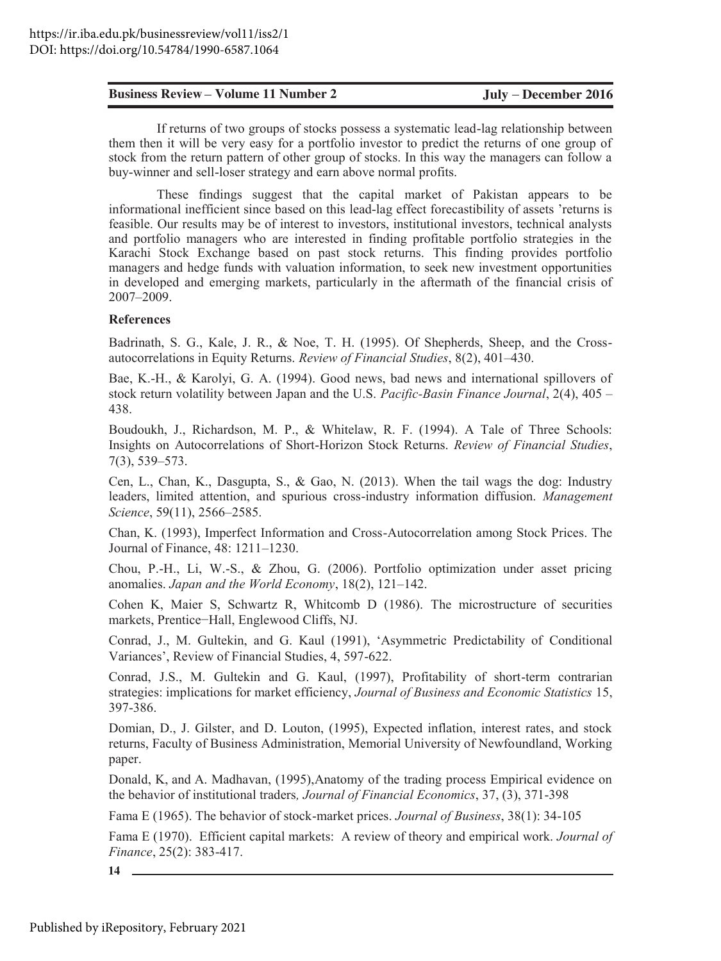If returns of two groups of stocks possess a systematic lead-lag relationship between them then it will be very easy for a portfolio investor to predict the returns of one group of stock from the return pattern of other group of stocks. In this way the managers can follow a buy-winner and sell-loser strategy and earn above normal profits.

**Ensiness Review Volume 11 Number 2 Judy December 2016**<br>
If meanning of work grapps of stacking possess a systematic lead-ag relationship herework of the furtherm of the current particles in the current particles in the These findings suggest that the capital market of Pakistan appears to be informational inefficient since based on this lead-lag effect forecastibility of assets 'returns is feasible. Our results may be of interest to investors, institutional investors, technical analysts and portfolio managers who are interested in finding profitable portfolio strategies in the Karachi Stock Exchange based on past stock returns. This finding provides portfolio managers and hedge funds with valuation information, to seek new investment opportunities in developed and emerging markets, particularly in the aftermath of the financial crisis of 2007-2009.

#### **References**

Badrinath, S. G., Kale, J. R., & Noe, T. H. (1995). Of Shepherds, Sheep, and the Crossautocorrelations in Equity Returns. Review of Financial Studies, 8(2), 401–430.

Bae, K.-H., & Karolyi, G. A. (1994). Good news, bad news and international spillovers of stock return volatility between Japan and the U.S. Pacific-Basin Finance Journal,  $2(4)$ ,  $405 -$ 438.

Boudoukh, J., Richardson, M. P., & Whitelaw, R. F. (1994). A Tale of Three Schools: Insights on Autocorrelations of Short-Horizon Stock Returns. Review of Financial Studies,  $7(3), 539 - 573.$ 

Cen, L., Chan, K., Dasgupta, S., & Gao, N. (2013). When the tail wags the dog: Industry leaders, limited attention, and spurious cross-industry information diffusion. *Management* Science, 59(11), 2566-2585.

Chan, K. (1993), Imperfect Information and Cross-Autocorrelation among Stock Prices. The Journal of Finance,  $48:1211-1230$ .

Chou, P.-H., Li, W.-S., & Zhou, G.  $(2006)$ . Portfolio optimization under asset pricing anomalies. Japan and the World Economy,  $18(2)$ ,  $121-142$ .

Cohen K, Maier S, Schwartz R, Whitcomb D (1986). The microstructure of securities markets, Prentice-Hall, Englewood Cliffs, NJ.

Conrad, J., M. Gultekin, and G. Kaul (1991), 'Asymmetric Predictability of Conditional Variances', Review of Financial Studies, 4, 597-622.

Conrad, J.S., M. Gultekin and G. Kaul, (1997), Profitability of short-term contrarian strategies: implications for market efficiency, Journal of Business and Economic Statistics 15, 397-386.

Domian, D., J. Gilster, and D. Louton, (1995), Expected inflation, interest rates, and stock returns, Faculty of Business Administration, Memorial University of Newfoundland, Working paper.

Donald, K, and A. Madhavan, (1995), Anatomy of the trading process Empirical evidence on the behavior of institutional traders, Journal of Financial Economics, 37, (3), 371-398

Fama E (1965). The behavior of stock-market prices. *Journal of Business*, 38(1): 34-105

Fama E (1970). Efficient capital markets: A review of theory and empirical work. *Journal of Finance*